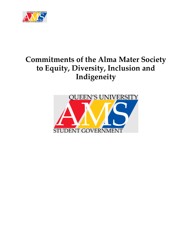

# **Commitments of the Alma Mater Society to Equity, Diversity, Inclusion and Indigeneity**

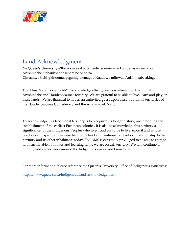

# <span id="page-1-0"></span>Land Acknowledgment

Ne Queen's University e'tho nońwe nikanónhsote tsi nońwe ne Haudenasaunee tánon Anishinaabek tehatihsnónhsahere ne óhontsa. Gimaakwe Gchi-gkinoomaagegamig atemagad Naadowe miinwaa Anishinaabe aking.

The Alma Mater Society (AMS) acknowledges that Queen's is situated on traditional Anishinaabe and Haudenosaunee territory. We are grateful to be able to live, learn and play on these lands. We are thankful to live as an uninvited guest upon these traditional territories of the Haudenosaunee Confederacy and the Anishinabek Nation.

To acknowledge this traditional territory is to recognize its longer history, one predating the establishment of the earliest European colonies. It is also to acknowledge this territory's significance for the Indigenous Peoples who lived, and continue to live, upon it and whose practices and spiritualities were tied to the land and continue to develop in relationship to the territory and its other inhabitants today. The AMS is extremely privileged to be able to engage with sustainable initiatives and learning while we are on this territory. We will continue to amplify and center work around the Indigenous voices and knowledge.

For more information, please reference the Queen's University Office of Indigenous Initiatives:

<https://www.queensu.ca/indigenous/land-acknowledgement>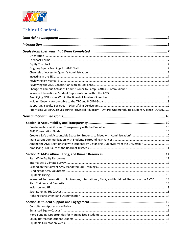

### **Table of Contents**

| Prioritizing QTBIPOC Issues during Provincial Advocacy - Ontario Undergraduate Student Alliance (OUSA)9 |  |
|---------------------------------------------------------------------------------------------------------|--|
|                                                                                                         |  |
|                                                                                                         |  |
|                                                                                                         |  |
|                                                                                                         |  |
|                                                                                                         |  |
|                                                                                                         |  |
| Amend the AMS Relationship with Students by Distancing Ourselves from the University*  10               |  |
|                                                                                                         |  |
|                                                                                                         |  |
|                                                                                                         |  |
|                                                                                                         |  |
|                                                                                                         |  |
|                                                                                                         |  |
|                                                                                                         |  |
| Increased Representation of Indigenous, International, Black, and Racialized Students in the AMS*  13   |  |
|                                                                                                         |  |
|                                                                                                         |  |
|                                                                                                         |  |
|                                                                                                         |  |
|                                                                                                         |  |
|                                                                                                         |  |
|                                                                                                         |  |
|                                                                                                         |  |
|                                                                                                         |  |
|                                                                                                         |  |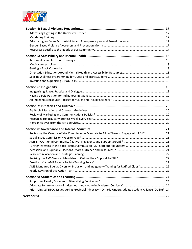

| Reviewing the Campus Affairs Commissioner Mandate to Allow Them to Engage with EDII*  21                    |  |
|-------------------------------------------------------------------------------------------------------------|--|
|                                                                                                             |  |
|                                                                                                             |  |
|                                                                                                             |  |
|                                                                                                             |  |
|                                                                                                             |  |
|                                                                                                             |  |
|                                                                                                             |  |
| AMS Mandated Equity, Diversity, Inclusion, and Indigeneity Training for Ratified Clubs*  22                 |  |
|                                                                                                             |  |
|                                                                                                             |  |
|                                                                                                             |  |
|                                                                                                             |  |
| Prioritizing QTBIPOC Issues during Provincial Advocacy - Ontario Undergraduate Student Alliance (OUSA)*. 24 |  |
|                                                                                                             |  |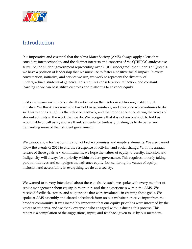

# <span id="page-4-0"></span>Introduction

It is imperative and essential that the Alma Mater Society (AMS) always apply a lens that considers intersectionality and the distinct interests and concerns of the QTBIPOC students we serve. As the student government representing over 20,000 undergraduate students at Queen's, we have a position of leadership that we must use to foster a positive social impact. In every conversation, initiative, and service we run, we work to represent the diversity of undergraduate students at Queen's. This requires consideration, reflection, and constant learning so we can best utilize our roles and platforms to advance equity.

Last year, many institutions critically reflected on their roles in addressing institutional injustice. We thank everyone who has held us accountable, and everyone who continues to do so. This year has taught us the value of feedback, and the importance of centering the voices of student activists in the work that we do. We recognize that it is not anyone's job to hold us accountable or call us in, and we thank students for tirelessly pushing us to do better and demanding more of their student government.

We cannot allow for the continuation of broken promises and empty statements. We also cannot allow the events of 2021 to end the resurgence of activism and social change. With the annual release of these goals and commitments, we hope the values of equity, diversity, inclusion and Indigeneity will always be a priority within student governance. This requires not only taking part in initiatives and campaigns that advance equity, but centering the values of equity, inclusion and accessibility in everything we do as a society.

We wanted to be very intentional about these goals. As such, we spoke with every member of senior management about equity in their units and their experiences within the AMS. We received feedback, stories, and suggestions that were invaluable in creating these goals. We spoke at AMS assembly and shared a feedback form on our website to receive input from the broader community. It was incredibly important that our equity priorities were informed by the voices of students, and we thank everyone who engaged with us during this process. This report is a compilation of the suggestions, input, and feedback given to us by our members.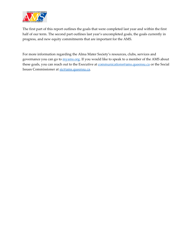

The first part of this report outlines the goals that were completed last year and within the first half of our term. The second part outlines last year's uncompleted goals, the goals currently in progress, and new equity commitments that are important for the AMS.

For more information regarding the Alma Mater Society's resources, clubs, services and governance you can go to [myams.org.](https://myams.org/) If you would like to speak to a member of the AMS about these goals, you can reach out to the Executive a[t communications@ams.queensu.ca](mailto:communications@ams.queensu.ca) or the Social Issues Commissioner at [sic@ams.queensu.ca.](mailto:sic@ams.queensu.ca)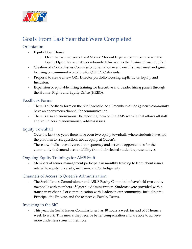

# <span id="page-6-0"></span>Goals From Last Year that Were Completed

#### <span id="page-6-1"></span>**Orientation**

- Equity Open House
	- o Over the last two years the AMS and Student Experience Office have run the Equity Open House that was rebranded this year as the *Finding Community Fair.*
- Creation of a Social Issues Commission orientation event, our first year meet and greet, focusing on community-building for QTBIPOC students.
- Proposal to create a new ORT Director portfolio focusing explicitly on Equity and Inclusion.
- Expansion of equitable hiring training for Executive and Leader hiring panels through the Human Rights and Equity Office (HREO).

#### <span id="page-6-2"></span>Feedback Forms

- There is a feedback form on the AMS website, so all members of the Queen's community have an anonymous channel for communication.
- There is also an anonymous HR reporting form on the AMS website that allows all staff and volunteers to anonymously address issues.

#### <span id="page-6-3"></span>Equity Townhall

- Over the last two years there have been two equity townhalls where students have had the platform to ask questions about equity at Queen's.
- These townhalls have advanced transparency and serve as opportunities for the community to demand accountability from their elected student representatives.

#### <span id="page-6-4"></span>Ongoing Equity Trainings for AMS Staff

Members of senior management participate in monthly training to learn about issues related to equity, diversity, inclusion, and/or Indigeneity

#### <span id="page-6-5"></span>Channels of Access to Queen's Administration

- The Social Issues Commissioner and ASUS Equity Commission have held two equity townhalls with members of Queen's Administration. Students were provided with a transparent channel of communication with leaders in our community, including the Principal, the Provost, and the respective Faculty Deans.

#### <span id="page-6-6"></span>Investing in the SIC

This year, the Social Issues Commissioner has 40 hours a week instead of 35 hours a week to work. This means they receive better compensation and are able to achieve more under less stress in their role.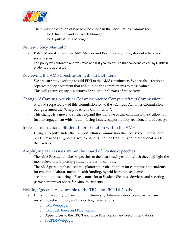

- There was the creation of two new positions in the Social Issues Commission:
	- o The Education and Outreach Manager
	- o The Equity Affairs Manager

#### <span id="page-7-0"></span>Review Policy Manual 3

- Policy Manual 3 describes AMS Stances and Priorities regarding student affairs and social issues.
- This policy was outdated and was reviewed last year to ensure that concerns voiced by QTBIPOC students are addressed.

#### <span id="page-7-1"></span>Reviewing the AMS Constitution with an EDII Lens

- We are currently working to add EDII to the AMS constitution. We are also creating a separate policy document that will outline the commitments to these values.
- This will ensure equity is a priority throughout all parts of the society.

#### <span id="page-7-2"></span>Change of Campus Activities Commissioner to Campus Affairs Commissioner

- A broad scope review of this commission led to the "Campus Activities Commission" being renamed the "Campus Affairs Commission".
- This change is a move to further expand the mandate of this commission and allow for further engagement with student-facing issues, support, policy revision, and advocacy.

#### <span id="page-7-3"></span>Increase International Student Representation within the AMS

Hiring a Deputy under the Campus Affairs Commission that focuses on International Students' needs at Queen's, while ensuring that the Deputy is an International Student themselves.

#### <span id="page-7-4"></span>Amplifying EDII Issues Within the Board of Trustees Speeches

- The AMS President makes 4 speeches to the board each year, in which they highlight the most relevant and pressing student issues on campus.
- The AMS president has used this platform to voice support for compensating students for emotional labour, mental health funding, hybrid learning, academic accommodations, hiring a Black counselor at Student Wellness Services, and securing permanent prayer space for Muslim students.

#### <span id="page-7-5"></span>Holding Queen's Accountable to the TRC and PICRDI Goals

- Utilizing the ability to meet with Sr. University Administration to ensure they are revisiting, reflecting on, and upholding these reports:
	- o [TRC Webpage.](https://nctr.ca/about/history-of-the-trc/trc-website/)
	- o [TRC Task Force and Final Report.](https://nctr.ca/records/reports/)
	- o Appendices to the TRC Task Force Final Report and Recommendations:
	- o [PICRDI Webpage.](https://www.queensu.ca/inclusive/initiatives/picrdi)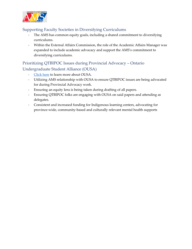

#### <span id="page-8-0"></span>Supporting Faculty Societies in Diversifying Curriculums

- The AMS has common equity goals, including a shared commitment to diversifying curriculums.
- Within the External Affairs Commission, the role of the Academic Affairs Manager was expanded to include academic advocacy and support the AMS's commitment to diversifying curriculums.

#### <span id="page-8-1"></span>Prioritizing QTBIPOC Issues during Provincial Advocacy – Ontario Undergraduate Student Alliance (OUSA)

- [Click here](https://www.ousa.ca/) to learn more about OUSA.
- Utilizing AMS relationship with OUSA to ensure QTBIPOC issues are being advocated for during Provincial Advocacy work.
- Ensuring an equity lens is being taken during drafting of all papers.
- Ensuring QTBIPOC folks are engaging with OUSA on said papers and attending as delegates.
- Consistent and increased funding for Indigenous learning centers, advocating for province-wide, community-based and culturally relevant mental health supports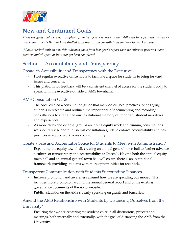

# <span id="page-9-0"></span>**New and Continued Goals**

*These are goals that were not completed from last year's report and that still need to be perused, as well as new commitments that we have drafted with input from consultations and our feedback survey.*

*\*Goals marked with an asterisk indicates goals from last year's report that are either in progress, have been expanded upon, or have not yet been completed.* 

### <span id="page-9-1"></span>Section 1: Accountability and Transparency

#### <span id="page-9-2"></span>Create an Accessibility and Transparency with the Executive

- Host regular executive office hours to facilitate a space for students to bring forward issues and concerns.
- This platform for feedback will be a consistent channel of access for the student body to speak with the executive outside of AMS townhalls.

#### <span id="page-9-3"></span>AMS Consultation Guide

- The AMS created a consultation guide that mapped out best practices for engaging students in research and outlined the importance of documenting and recording consultations to strengthen our institutional memory of important student narratives and experiences.
- As more clubs and external groups are doing equity work and running consultations, we should revise and publish this consultation guide to enforce accountability and best practices in equity work across our community.

#### <span id="page-9-4"></span>Create a Safe and Accountable Space for Students to Meet with Administration\*

Expanding the equity town hall, creating an annual general town hall to further advance a culture of transparency and accountability at Queen's. Having both the annual equity town hall and an annual general town hall will ensure there is an institutional framework providing students with more opportunities for feedback.

#### <span id="page-9-5"></span>Transparent Communication with Students Surrounding Finances

- Increase promotion and awareness around how we are spending our money. This includes more promotion around the annual general report and of the existing governance documents of the AMS website.
- Publish statistics on the AMS's yearly spending on grants and bursaries.

#### <span id="page-9-6"></span>Amend the AMS Relationship with Students by Distancing Ourselves from the University\*

- Ensuring that we are centering the student voice in all discussions, projects and meetings, both internally and externally, with the goal of distancing the AMS from the University.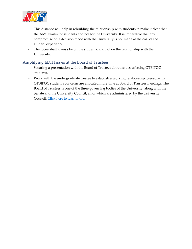

- This distance will help in rebuilding the relationship with students to make it clear that the AMS works for students and not for the University. It is imperative that any compromise on a decision made with the University is not made at the cost of the student experience.
- The focus shall always be on the students, and not on the relationship with the University.

#### <span id="page-10-0"></span>Amplifying EDII Issues at the Board of Trustees

- Securing a presentation with the Board of Trustees about issues affecting QTBIPOC students.
- Work with the undergraduate trustee to establish a working relationship to ensure that QTBIPOC student's concerns are allocated more time at Board of Trustees meetings. The Board of Trustees is one of the three governing bodies of the University, along with the Senate and the University Council, all of which are administered by the University Council[. Click here to learn more.](https://www.queensu.ca/secretariat/board-trustees)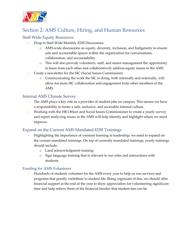

# <span id="page-11-0"></span>Section 2: AMS Culture, Hiring, and Human Resources

#### <span id="page-11-1"></span>Staff Wide Equity Resources

- Drop in Staff Wide Monthly EDII Discussions
	- o AMS-wide discussions on equity, diversity, inclusion, and Indigeneity to ensure safe and accountable spaces within the organization for conversations, collaboration, and accountability.
	- o This will also provide volunteers, staff, and senior management the opportunity to learn from each other and collaboratively address equity issues in the AMS.
- Create a newsletter for the SIC (Social Issues Commission)
	- o Communicating the work the SIC is doing, both internally and externally, will allow for more SIC collaboration and engagement from other members of the AMS.

#### <span id="page-11-2"></span>Internal AMS Climate Survey

- The AMS plays a key role as a provider of student jobs on campus. This means we have a responsibility to foster a safe, inclusive, and accessible internal culture.
- Working with the HR Officer and Social Issues Commissioner to create a yearly survey and report analyzing issues in the AMS will help identify and highlight where we must improve.

#### <span id="page-11-3"></span>Expand on the Current AMS Mandated EDII Trainings

- Highlighting the importance of constant learning in leadership, we need to expand on the current mandated trainings. On top of currently mandated trainings, yearly trainings should include:
	- o Land acknowledgment training
	- o Sign language training that is relevant to our roles and interactions with students.

#### <span id="page-11-4"></span>Funding for AMS Volunteers

- Hundreds of students volunteer for the AMS every year to help us run services and programs that greatly contribute to student life. Being cognizant of this, we should offer financial support at the end of the year to show appreciation for volunteering significant time and help relieve them of the financial burden that student fees can be.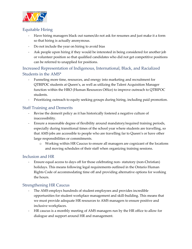

#### <span id="page-12-0"></span>Equitable Hiring

- Have hiring managers black out names/do not ask for resumes and just make it a form so that hiring is actually anonymous.
- Do not include the year on hiring to avoid bias
- Ask people upon hiring if they would be interested in being considered for another job or volunteer position so that qualified candidates who did not get competitive positions can be referred to unapplied for positions.

<span id="page-12-1"></span>Increased Representation of Indigenous, International, Black, and Racialized Students in the AMS\*

- Funneling more time, resources, and energy into marketing and recruitment for QTBIPOC students at Queen's, as well as utilizing the Talent Acquisition Manager function within the HRO (Human Resources Office) to improve outreach to QTBIPOC students.
- Prioritizing outreach to equity seeking groups during hiring, including paid promotion.

#### <span id="page-12-2"></span>Staff Training and Demerits

- Revise the demerit policy as it has historically fostered a negative culture of inaccessibility.
- Ensure a reasonable degree of flexibility around mandatory/required training periods, especially during transitional times of the school year where students are travelling, so that AMS jobs are accessible to people who are travelling far to Queen's or have other large responsibilities or commitments.
	- o Working within HR Caucus to ensure all managers are cognizant of the locations and moving schedules of their staff when organizing training sessions.

#### <span id="page-12-3"></span>Inclusion and HR

Ensure equal access to days off for those celebrating non-statutory (non-Christian) holidays. This means following legal requirements outlined in the Ontario Human Rights Code of accommodating time off and providing alternative options for working the hours.

#### <span id="page-12-4"></span>Strengthening HR Caucus

- The AMS employs hundreds of student employees and provides incredible opportunities for student workplace management and skill-building. This means that we must provide adequate HR resources to AMS managers to ensure positive and inclusive workplaces.
- HR caucus is a monthly meeting of AMS managers run by the HR office to allow for dialogue and support around HR and management.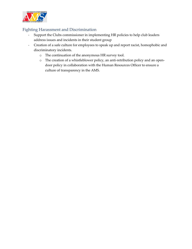

#### <span id="page-13-0"></span>Fighting Harassment and Discrimination

- Support the Clubs commissioner in implementing HR policies to help club leaders address issues and incidents in their student group
- Creation of a safe culture for employees to speak up and report racist, homophobic and discriminatory incidents.
	- o The continuation of the anonymous HR survey tool.
	- o The creation of a whistleblower policy, an anti-retribution policy and an opendoor policy in collaboration with the Human Resources Officer to ensure a culture of transparency in the AMS.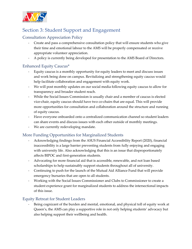

# <span id="page-14-0"></span>Section 3: Student Support and Engagement

#### <span id="page-14-1"></span>Consultation Appreciation Policy

- Create and pass a comprehensive consultation policy that will ensure students who give their time and emotional labour to the AMS will be properly compensated or receive appropriate volunteer appreciation.
- A policy is currently being developed for presentation to the AMS Board of Directors.

#### <span id="page-14-2"></span>Enhanced Equity Caucus\*

- Equity caucus is a monthly opportunity for equity leaders to meet and discuss issues and work being done on campus. Revitalizing and strengthening equity caucus would help facilitate collaboration and engagement with equity work.
- We will post monthly updates on our social media following equity caucus to allow for transparency and broader student reach.
- While the Social Issues Commission is usually chair and a member of caucus is elected vice-chair, equity caucus should have two co-chairs that are equal. This will provide more opportunities for consultation and collaboration around the structure and running of equity caucus.
- Have everyone onboarded onto a centralized communication channel so student leaders can share events and discuss issues with each other outside of monthly meetings.
- We are currently redeveloping mandate.

#### <span id="page-14-3"></span>More Funding Opportunities for Marginalized Students

- Acknowledging findings from the ASUS Financial Accessibility Report (2020), financial inaccessibility is a large barrier preventing students from fully enjoying and engaging with university life. Also acknowledging that this is an issue that disproportionately affects BIPOC and first-generation students.
- Advocating for more financial aid that is accessible, renewable, and not loan based scholarships to help sustainably support students throughout all of university.
- Continuing to push for the launch of the Mutual Aid Alliance Fund that will provide emergency bursaries that are open to all students.
- Working with the Social Issues Commissioner and Clubs to Commissioner to create a student experience grant for marginalized students to address the intersectional impacts of this issue.

#### <span id="page-14-4"></span>Equity Retreat for Student Leaders

Being cognizant of the burden and mental, emotional, and physical toll of equity work at Queen's, the AMS can play a supportive role in not only helping students' advocacy but also helping support their wellbeing and health.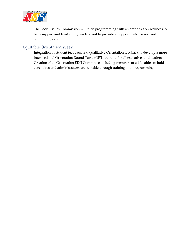

- The Social Issues Commission will plan programming with an emphasis on wellness to help support and treat equity leaders and to provide an opportunity for rest and community care.

#### <span id="page-15-0"></span>Equitable Orientation Week

- Integration of student feedback and qualitative Orientation feedback to develop a more intersectional Orientation Round Table (ORT) training for all executives and leaders.
- Creation of an Orientation EDII Committee including members of all faculties to hold executives and administrators accountable through training and programming.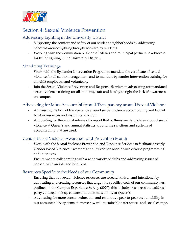

### <span id="page-16-0"></span>Section 4: Sexual Violence Prevention

#### <span id="page-16-1"></span>Addressing Lighting in the University District

- Supporting the comfort and safety of our student neighborhoods by addressing concerns around lighting brought forward by students.
- Working with the Commission of External Affairs and municipal partners to advocate for better lighting in the University District.

#### <span id="page-16-2"></span>Mandating Trainings

- Work with the Bystander Intervention Program to mandate the certificate of sexual violence for all senior management, and to mandate bystander intervention training for all AMS employees and volunteers.
- Join the Sexual Violence Prevention and Response Services in advocating for mandated sexual violence training for all students, staff and faculty to fight the lack of awareness on campus.

#### <span id="page-16-3"></span>Advocating for More Accountability and Transparency around Sexual Violence

- Addressing the lack of transparency around sexual violence accountability and lack of trust in resources and institutional action.
- Advocating for the annual release of a report that outlines yearly updates around sexual violence at Queen's and annual statistics around the sanctions and systems of accountability that are used.

#### <span id="page-16-4"></span>Gender Based Violence Awareness and Prevention Month

- Work with the Sexual Violence Prevention and Response Services to facilitate a yearly Gender Based Violence Awareness and Prevention Month with diverse programming and initiatives.
- Ensure we are collaborating with a wide variety of clubs and addressing issues of consent with an intersectional lens.

#### <span id="page-16-5"></span>Resources Specific to the Needs of our Community

- Ensuring that our sexual violence resources are research driven and intentional by advocating and creating resources that target the specific needs of our community. As outlined in the Campus Experience Survey (2020), this includes resources that address party culture, hook up culture and toxic masculinity at Queen's.
- Advocating for more consent education and restorative peer-to-peer accountability in our accountability systems, to move towards sustainable safer spaces and social change.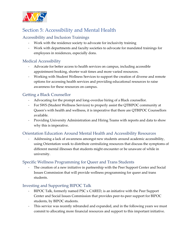

# <span id="page-17-0"></span>Section 5: Accessibility and Mental Health

#### <span id="page-17-1"></span>Accessibility and Inclusion Trainings

- Work with the residence society to advocate for inclusivity training
- Work with departments and faculty societies to advocate for mandated trainings for employees in residences, especially dons.

#### <span id="page-17-2"></span>Medical Accessibility

- Advocate for better access to health services on campus, including accessible appointment booking, shorter wait times and more varied resources.
- Working with Student Wellness Services to support the creation of diverse and remote options for accessing health services and providing educational resources to raise awareness for these resources on campus.

#### <span id="page-17-3"></span>Getting a Black Counsellor

- Advocating for the prompt and long-overdue hiring of a Black counsellor.
- For SWS (Student Wellness Services) to properly assist the QTBIPOC community at Queen's with health and wellness, it is imperative that there are QTBIPOC Counsellors available.
- Providing University Administration and Hiring Teams with reports and data to show why this is imperative.

#### <span id="page-17-4"></span>Orientation Education Around Mental Health and Accessibility Resources

- Addressing a lack of awareness amongst new students around academic accessibility, using Orientation week to distribute centralizing resources that discuss the symptoms of different mental illnesses that students might encounter or be unaware of while in university.

#### <span id="page-17-5"></span>Specific Wellness Programming for Queer and Trans Students

The creation of a new initiative in partnership with the Peer Support Center and Social Issues Commission that will provide wellness programming for queer and trans students.

#### <span id="page-17-6"></span>Investing and Supporting BIPOC Talk

- BIPOC Talk, formerly named PSC x CARED, is an initiative with the Peer Support Center and Social Issues Commission that provides peer-to-peer support for BIPOC students, by BIPOC students.
- This service was recently rebranded and expanded, and in the following years we must commit to allocating more financial resources and support to this important initiative.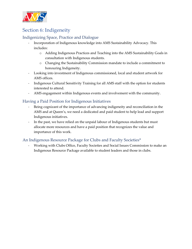

# <span id="page-18-0"></span>Section 6: Indigeneity

#### <span id="page-18-1"></span>Indigenizing Space, Practice and Dialogue

- Incorporation of Indigenous knowledge into AMS Sustainability Advocacy. This includes:
	- o Adding Indigenous Practices and Teaching into the AMS Sustainability Goals in consultation with Indigenous students.
	- o Changing the Sustainability Commission mandate to include a commitment to honouring Indigeneity.
- Looking into investment of Indigenous commissioned, local and student artwork for AMS offices.
- Indigenous Cultural Sensitivity Training for all AMS staff with the option for students interested to attend.
- AMS engagement within Indigenous events and involvement with the community.

#### <span id="page-18-2"></span>Having a Paid Position for Indigenous Initiatives

- Being cognizant of the importance of advancing indigeneity and reconciliation in the AMS and at Queen's, we need a dedicated and paid student to help lead and support Indigenous initiatives.
- In the past, we have relied on the unpaid labour of Indigenous students but must allocate more resources and have a paid position that recognizes the value and importance of this work.

#### <span id="page-18-3"></span>An Indigenous Resource Package for Clubs and Faculty Societies\*

- Working with Clubs Office, Faculty Societies and Social Issues Commission to make an Indigenous Resource Package available to student leaders and those in clubs.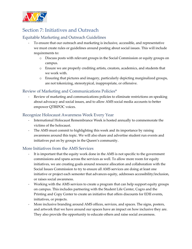

# <span id="page-19-0"></span>Section 7: Initiatives and Outreach

#### <span id="page-19-1"></span>Equitable Marketing and Outreach Guidelines

- To ensure that our outreach and marketing is inclusive, accessible, and representative we must create rules or guidelines around posting about social issues. This will include requirements to:
	- o Discuss posts with relevant groups in the Social Commission or equity groups on campus.
	- o Ensure we are properly crediting artists, creators, academics, and students that we work with.
	- o Ensuring that pictures and imagery, particularly depicting marginalized groups, are not tokenizing, stereotypical, inappropriate, or offensive.

#### <span id="page-19-2"></span>Review of Marketing and Communications Policies\*

Review of marketing and communications policies to eliminate restrictions on speaking about advocacy and social issues, and to allow AMS social media accounts to better empower QTBIPOC voices.

#### <span id="page-19-3"></span>Recognize Holocaust Awareness Week Every Year

- International Holocaust Remembrance Week is hosted annually to commemorate the victims of the holocaust.
- The AMS must commit to highlighting this week and its importance by raising awareness around this topic. We will also share and advertise student run events and initiatives put on by groups in the Queen's community.

#### <span id="page-19-4"></span>More Initiatives from the AMS Services

- It is important that the equity work done in the AMS is not specific to the government commissions and spans across the services as well. To allow more room for equity initiatives, we are creating goals around resource allocation and collaboration with the Social Issues Commission to try to ensure all AMS services are doing at least one initiative or project each semester that advances equity, addresses accessibility/inclusion, or raises social awareness.
- Working with the AMS services to create a program that can help support equity groups on campus. This includes partnering with the Student Life Center, Cogro and the Printing and Copy Center to create an initiative that offers discounts for EDII events, initiatives, or projects.
- More inclusive branding around AMS offices, services, and spaces. The signs, posters, and artwork that we have around our spaces have an impact on how inclusive they are. They also provide the opportunity to educate others and raise social awareness.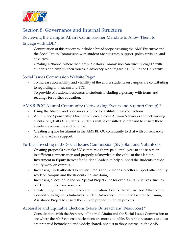

### <span id="page-20-0"></span>Section 8: Governance and Internal Structure

#### <span id="page-20-1"></span>Reviewing the Campus Affairs Commissioner Mandate to Allow Them to Engage with EDII\*

- Continuation of this review to include a broad scope assisting the AMS Executive and the Social Issues Commission with student-facing issues, support, policy revision, and advocacy.
- Creating a channel where the Campus Affairs Commission can directly engage with students and amplify their voices in advocacy work regarding EDII to the University.

#### <span id="page-20-2"></span>Social Issues Commission Website Page\*

- To increase accessibility and visibility of the efforts students on campus are contributing to regarding anti-racism and EDII.
- To provide educational resources to students including a glossary with terms and readings for further education.

#### <span id="page-20-3"></span>AMS BIPOC Alumni Community (Networking Events and Support Group) \*

- Using the Alumni and Sponsorship Office to facilitate these connections.
- Alumni and Sponsorship Director will create more Alumni Networks and networking events for QTBIPOC students. Students will be consulted beforehand to ensure these events are accessible and tangible.
- Creating a space for alumni in the AMS BIPOC community to chat with current AMS Staff and act as a support.

#### <span id="page-20-4"></span>Further Investing in the Social Issues Commission (SIC) Staff and Volunteers

- Creating proposals to make SIC committee chairs paid employees to address their insufficient compensation and properly acknowledge the value of their labour.
- Investment in Equity Retreat for Student Leaders to help support the students that do equity work on campus.
- Increasing funds allocated to Equity Grants and Bursaries to better support other equity work on campus and the students that are doing it.
- Increasing allocation to the SIC Special Projects line for events and initiatives, such as SIC Community Care sessions.
- Create budget lines for Outreach and Education, Events, the Mutual Aid Alliance, the Council of Indigenous Initiatives, Student Advocacy Summit and Gender Affirming Assistance Project to ensure the SIC can properly fund all projects.

#### <span id="page-20-5"></span>Accessible and Equitable Elections (More Outreach and Resources) \*

- Consultations with the Secretary of Internal Affairs and the Social Issues Commission to see where the AMS can ensure elections are more equitable. Ensuring resources to do so are prepared beforehand and widely shared, not just to those internal to the AMS.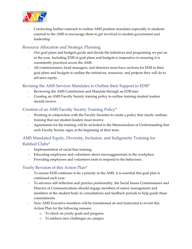

Conducting further outreach to outline AMS position mandates especially to students external to the AMS to encourage them to get involved in student government and leadership.

#### <span id="page-21-0"></span>Resource Allocation and Strategic Planning

- Our goal plans and budgets guide and decide the initiatives and programing we put on in the year. Including EDII in goal plans and budgets is imperative to ensuring it is consistently practiced across the AMS.
- All commissioners, head managers, and directors must have sections for EDII in their goal plans and budgets to outline the initiatives, resources, and projects they will do to advance equity.

#### <span id="page-21-1"></span>Revising the AMS Services Mandates to Outline their Support to EDII\*

- Reviewing the AMS Constitution and Mandate through an EDII lens
- Creating an AMS Faculty Society training policy to outline training student leaders should receive.

#### <span id="page-21-2"></span>Creation of an AMS Faculty Society Training Policy\*

- Working in conjunction with the Faculty Societies to create a policy that clearly outlines training that our student leaders must receive.
- Agreements for the training will be included in the Memorandum of Understanding that each Faculty Society signs at the beginning of their term.

#### <span id="page-21-3"></span>AMS Mandated Equity, Diversity, Inclusion, and Indigeneity Training for Ratified Clubs\*

- Implementation of racial bias training.
- Educating employees and volunteers about microaggressions in the workplace.
- Providing employees and volunteers tools to respond to the behaviour.

#### <span id="page-21-4"></span>Yearly Revision of this Action Plan\*

- To ensure EDII continues to be a priority in the AMS, it is essential this goal plan is continued each year.
- To advance self-reflection and practice positionality, the Social Issues Commissioner and Director of Communications should engage members of senior management and members of the student body in consultations and feedback periods to help guide these commitments.
- New AMS Executive members will be transitioned on and instructed to revisit this Action Plan for the following reasons:
	- o To check on yearly goals and progress.
	- o To address new challenges on campus.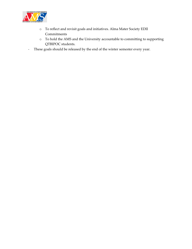

- o To reflect and revisit goals and initiatives. Alma Mater Society EDII **Commitments**
- o To hold the AMS and the University accountable to committing to supporting QTBIPOC students.
- These goals should be released by the end of the winter semester every year.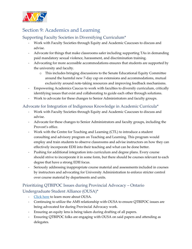

### <span id="page-23-0"></span>Section 9: Academics and Learning

#### <span id="page-23-1"></span>Supporting Faculty Societies in Diversifying Curriculum\*

- Work with Faculty Societies through Equity and Academic Caucuses to discuss and advise.
- Advocate for things that make classrooms safer including supporting TAs in demanding paid mandatory sexual violence, harassment, and discrimination training.
- Advocating for more accessible accommodations ensures that students are supported by the university and faculty.
	- o This includes bringing discussions to the Senate Educational Equity Committee around the harmful new 7-day cap on extensions and accommodations, mutual exclusivity around note-taking resources and improving feedback mechanisms.
- Empowering Academics Caucus to work with faculties to diversify curriculum, critically identifying issues that exist and collaborating to guide each other through solutions.
- Work to advocate for these changes to Senior Administrators and faculty groups.

#### <span id="page-23-2"></span>Advocate for Integration of Indigenous Knowledge in Academic Curricula\*

- Work with Faculty Societies through Equity and Academic Caucuses to discuss and advise.
- Advocate for these changes to Senior Administrators and faculty groups, including the Provost's office.
- Work with the Centre for Teaching and Learning (CTL) to introduce a student consulting and advisory program on Teaching and Learning. This program would employ and train students to observe classrooms and advise instructors on how they can effectively incorporate EDII into their teaching and what can be done better.
- Pushing for additional integration into curriculum and degree plans. Every course should strive to incorporate it in some form, but there should be courses relevant to each degree that have a strong EDII focus.
- Seriously addressing inappropriate course material and assessments included in courses by instructors and advocating for University Administration to enforce stricter control over course material by departments and units.

#### <span id="page-23-3"></span>Prioritizing QTBIPOC Issues during Provincial Advocacy – Ontario Undergraduate Student Alliance (OUSA)\*

- [Click](https://www.ousa.ca/) here to learn more about OUSA.
- Continuing to utilize the AMS relationship with OUSA to ensure QTBIPOC issues are being advocated for during Provincial Advocacy work.
- Ensuring an equity lens is being taken during drafting of all papers.
- Ensuring QTBIPOC folks are engaging with OUSA on said papers and attending as delegates.